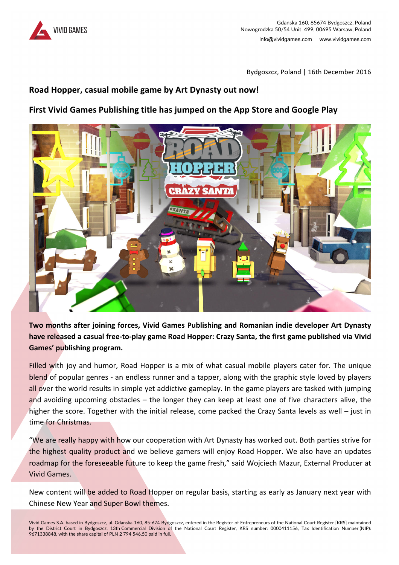

Bydgoszcz, Poland | 16th December 2016

## **Road Hopper, casual mobile game by Art Dynasty out now!**

## **First Vivid Games Publishing title has jumped on the App Store and Google Play**



**Two months after joining forces, Vivid Games Publishing and Romanian indie developer Art Dynasty** have released a casual free-to-play game Road Hopper: Crazy Santa, the first game published via Vivid Games' publishing program.

Filled with joy and humor, Road Hopper is a mix of what casual mobile players cater for. The unique blend of popular genres - an endless runner and a tapper, along with the graphic style loved by players all over the world results in simple yet addictive gameplay. In the game players are tasked with jumping and avoiding upcoming obstacles  $-$  the longer they can keep at least one of five characters alive, the higher the score. Together with the initial release, come packed the Crazy Santa levels as well  $-$  just in time for Christmas.

"We are really happy with how our cooperation with Art Dynasty has worked out. Both parties strive for the highest quality product and we believe gamers will enjoy Road Hopper. We also have an updates roadmap for the foreseeable future to keep the game fresh," said Wojciech Mazur, External Producer at Vivid Games.

New content will be added to Road Hopper on regular basis, starting as early as January next year with Chinese New Year and Super Bowl themes.